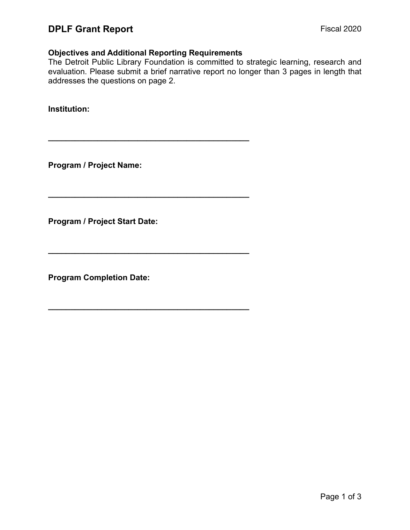### **Objectives and Additional Reporting Requirements**

**\_\_\_\_\_\_\_\_\_\_\_\_\_\_\_\_\_\_\_\_\_\_\_\_\_\_\_\_\_\_\_\_\_\_\_\_\_\_\_\_\_\_\_\_\_** 

**\_\_\_\_\_\_\_\_\_\_\_\_\_\_\_\_\_\_\_\_\_\_\_\_\_\_\_\_\_\_\_\_\_\_\_\_\_\_\_\_\_\_\_\_\_** 

**\_\_\_\_\_\_\_\_\_\_\_\_\_\_\_\_\_\_\_\_\_\_\_\_\_\_\_\_\_\_\_\_\_\_\_\_\_\_\_\_\_\_\_\_\_** 

**\_\_\_\_\_\_\_\_\_\_\_\_\_\_\_\_\_\_\_\_\_\_\_\_\_\_\_\_\_\_\_\_\_\_\_\_\_\_\_\_\_\_\_\_\_** 

The Detroit Public Library Foundation is committed to strategic learning, research and evaluation. Please submit a brief narrative report no longer than 3 pages in length that addresses the questions on page 2.

**Institution:** 

**Program / Project Name:** 

**Program / Project Start Date:** 

**Program Completion Date:**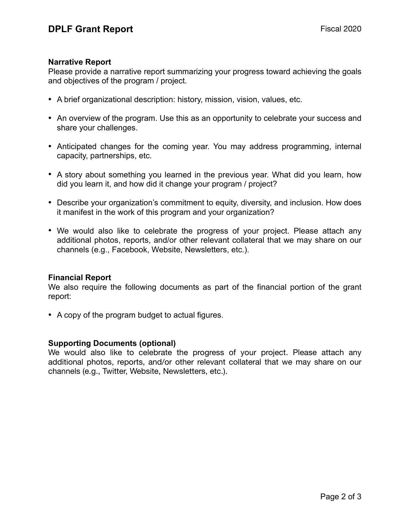#### **Narrative Report**

Please provide a narrative report summarizing your progress toward achieving the goals and objectives of the program / project.

- A brief organizational description: history, mission, vision, values, etc.
- An overview of the program. Use this as an opportunity to celebrate your success and share your challenges.
- Anticipated changes for the coming year. You may address programming, internal capacity, partnerships, etc.
- A story about something you learned in the previous year. What did you learn, how did you learn it, and how did it change your program / project?
- Describe your organization's commitment to equity, diversity, and inclusion. How does it manifest in the work of this program and your organization?
- We would also like to celebrate the progress of your project. Please attach any additional photos, reports, and/or other relevant collateral that we may share on our channels (e.g., Facebook, Website, Newsletters, etc.).

#### **Financial Report**

We also require the following documents as part of the financial portion of the grant report:

• A copy of the program budget to actual figures.

### **Supporting Documents (optional)**

We would also like to celebrate the progress of your project. Please attach any additional photos, reports, and/or other relevant collateral that we may share on our channels (e.g., Twitter, Website, Newsletters, etc.).